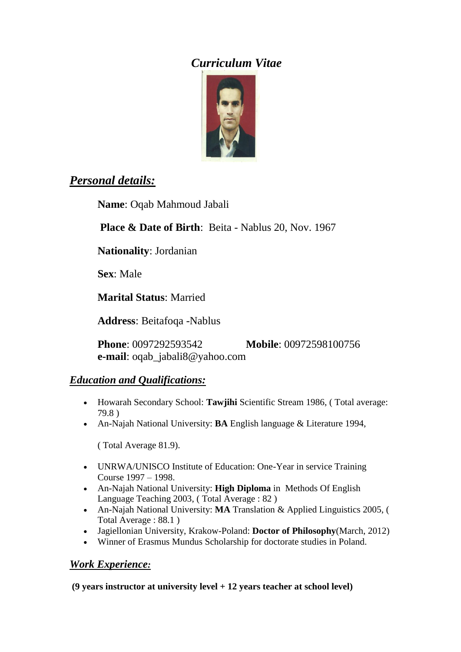# *Curriculum Vitae*



# *Personal details:*

**Name**: Oqab Mahmoud Jabali

**Place & Date of Birth**: Beita - Nablus 20, Nov. 1967

**Nationality**: Jordanian

**Sex**: Male

**Marital Status**: Married

**Address**: Beitafoqa -Nablus

**Phone**: 0097292593542 **Mobile**: 00972598100756 **e-mail**: oqab\_jabali8@yahoo.com

## *Education and Qualifications:*

- Howarah Secondary School: **Tawjihi** Scientific Stream 1986, ( Total average: 79.8 )
- An-Najah National University: **BA** English language & Literature 1994,

( Total Average 81.9).

- UNRWA/UNISCO Institute of Education: One-Year in service Training Course 1997 – 1998.
- An-Najah National University: **High Diploma** in Methods Of English Language Teaching 2003, ( Total Average : 82 )
- An-Najah National University: **MA** Translation & Applied Linguistics 2005, ( Total Average : 88.1 )
- Jagiellonian University, Krakow-Poland: **Doctor of Philosophy**(March, 2012)
- Winner of Erasmus Mundus Scholarship for doctorate studies in Poland.

## *Work Experience:*

**(9 years instructor at university level + 12 years teacher at school level)**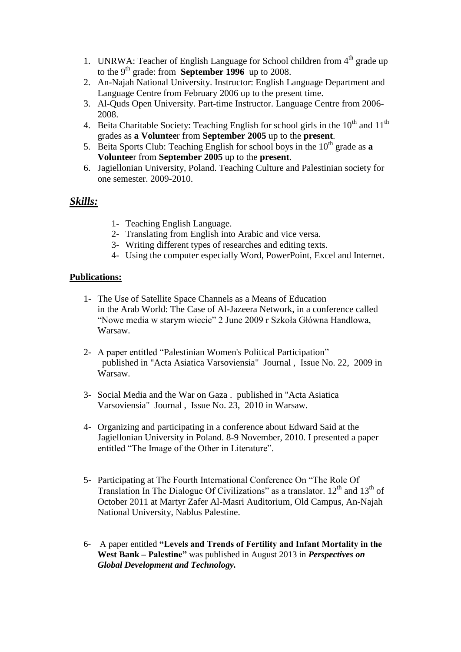- 1. UNRWA: Teacher of English Language for School children from  $4<sup>th</sup>$  grade up to the 9th grade: from **September 1996** up to 2008.
- 2. An-Najah National University. Instructor: English Language Department and Language Centre from February 2006 up to the present time.
- 3. Al-Quds Open University. Part-time Instructor. Language Centre from 2006- 2008.
- 4. Beita Charitable Society: Teaching English for school girls in the  $10^{th}$  and  $11^{th}$ grades as **a Voluntee**r from **September 2005** up to the **present**.
- 5. Beita Sports Club: Teaching English for school boys in the  $10<sup>th</sup>$  grade as **a Voluntee**r from **September 2005** up to the **present**.
- 6. Jagiellonian University, Poland. Teaching Culture and Palestinian society for one semester. 2009-2010.

### *Skills:*

- 1- Teaching English Language.
- 2- Translating from English into Arabic and vice versa.
- 3- Writing different types of researches and editing texts.
- 4- Using the computer especially Word, PowerPoint, Excel and Internet.

#### **Publications:**

- 1- The Use of Satellite Space Channels as a Means of Education in the Arab World: The Case of Al-Jazeera Network, in a conference called "Nowe media w starym wiecie" 2 June 2009 r Szkoła Główna Handlowa, Warsaw.
- 2- A paper entitled "Palestinian Women's Political Participation" published in "Acta Asiatica Varsoviensia" Journal , Issue No. 22, 2009 in Warsaw.
- 3- Social Media and the War on Gaza . published in "Acta Asiatica Varsoviensia" Journal , Issue No. 23, 2010 in Warsaw.
- 4- Organizing and participating in a conference about Edward Said at the Jagiellonian University in Poland. 8-9 November, 2010. I presented a paper entitled "The Image of the Other in Literature".
- 5- Participating at The Fourth International Conference On "The Role Of Translation In The Dialogue Of Civilizations" as a translator.  $12<sup>th</sup>$  and  $13<sup>th</sup>$  of October 2011 at Martyr Zafer Al-Masri Auditorium, Old Campus, An-Najah National University, Nablus Palestine.
- 6- A paper entitled **"Levels and Trends of Fertility and Infant Mortality in the West Bank – Palestine"** was published in August 2013 in *Perspectives on Global Development and Technology.*